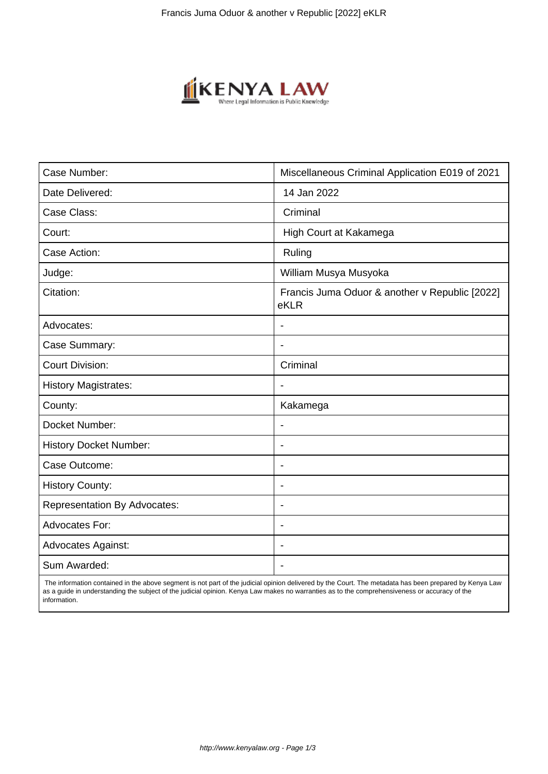

| Case Number:                        | Miscellaneous Criminal Application E019 of 2021        |
|-------------------------------------|--------------------------------------------------------|
| Date Delivered:                     | 14 Jan 2022                                            |
| Case Class:                         | Criminal                                               |
| Court:                              | High Court at Kakamega                                 |
| Case Action:                        | Ruling                                                 |
| Judge:                              | William Musya Musyoka                                  |
| Citation:                           | Francis Juma Oduor & another v Republic [2022]<br>eKLR |
| Advocates:                          |                                                        |
| Case Summary:                       |                                                        |
| <b>Court Division:</b>              | Criminal                                               |
| <b>History Magistrates:</b>         | $\blacksquare$                                         |
| County:                             | Kakamega                                               |
| Docket Number:                      |                                                        |
| <b>History Docket Number:</b>       | $\overline{\phantom{0}}$                               |
| Case Outcome:                       |                                                        |
| <b>History County:</b>              | $\overline{\phantom{a}}$                               |
| <b>Representation By Advocates:</b> | $\overline{\phantom{a}}$                               |
| Advocates For:                      | $\overline{\phantom{a}}$                               |
| <b>Advocates Against:</b>           | $\overline{\phantom{0}}$                               |
| Sum Awarded:                        |                                                        |

 The information contained in the above segment is not part of the judicial opinion delivered by the Court. The metadata has been prepared by Kenya Law as a guide in understanding the subject of the judicial opinion. Kenya Law makes no warranties as to the comprehensiveness or accuracy of the information.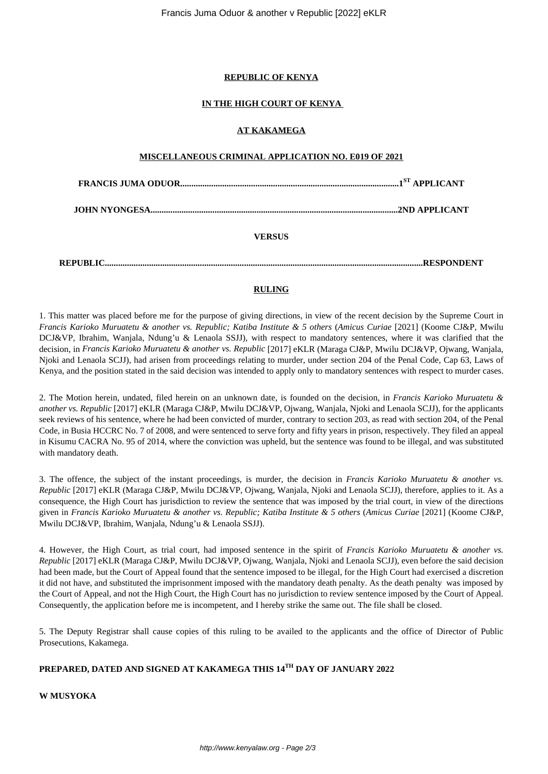## **REPUBLIC OF KENYA**

### **IN THE HIGH COURT OF KENYA**

### **AT KAKAMEGA**

## **MISCELLANEOUS CRIMINAL APPLICATION NO. E019 OF 2021**

**FRANCIS JUMA ODUOR...................................................................................................1 ST APPLICANT**

**JOHN NYONGESA................................................................................................................2ND APPLICANT**

# **VERSUS**

**REPUBLIC................................................................................................................................................RESPONDENT**

# **RULING**

1. This matter was placed before me for the purpose of giving directions, in view of the recent decision by the Supreme Court in *Francis Karioko Muruatetu & another vs. Republic; Katiba Institute & 5 others* (*Amicus Curiae* [2021] (Koome CJ&P, Mwilu DCJ&VP, Ibrahim, Wanjala, Ndung'u & Lenaola SSJJ), with respect to mandatory sentences, where it was clarified that the decision, in *Francis Karioko Muruatetu & another vs. Republic* [2017] eKLR (Maraga CJ&P, Mwilu DCJ&VP, Ojwang, Wanjala, Njoki and Lenaola SCJJ), had arisen from proceedings relating to murder, under section 204 of the Penal Code, Cap 63, Laws of Kenya, and the position stated in the said decision was intended to apply only to mandatory sentences with respect to murder cases.

2. The Motion herein, undated, filed herein on an unknown date, is founded on the decision, in *Francis Karioko Muruatetu & another vs. Republic* [2017] eKLR (Maraga CJ&P, Mwilu DCJ&VP, Ojwang, Wanjala, Njoki and Lenaola SCJJ), for the applicants seek reviews of his sentence, where he had been convicted of murder, contrary to section 203, as read with section 204, of the Penal Code, in Busia HCCRC No. 7 of 2008, and were sentenced to serve forty and fifty years in prison, respectively. They filed an appeal in Kisumu CACRA No. 95 of 2014, where the conviction was upheld, but the sentence was found to be illegal, and was substituted with mandatory death.

3. The offence, the subject of the instant proceedings, is murder, the decision in *Francis Karioko Muruatetu & another vs. Republic* [2017] eKLR (Maraga CJ&P, Mwilu DCJ&VP, Ojwang, Wanjala, Njoki and Lenaola SCJJ), therefore, applies to it. As a consequence, the High Court has jurisdiction to review the sentence that was imposed by the trial court, in view of the directions given in *Francis Karioko Muruatetu & another vs. Republic; Katiba Institute & 5 others* (*Amicus Curiae* [2021] (Koome CJ&P, Mwilu DCJ&VP, Ibrahim, Wanjala, Ndung'u & Lenaola SSJJ).

4. However, the High Court, as trial court, had imposed sentence in the spirit of *Francis Karioko Muruatetu & another vs. Republic* [2017] eKLR (Maraga CJ&P, Mwilu DCJ&VP, Ojwang, Wanjala, Njoki and Lenaola SCJJ), even before the said decision had been made, but the Court of Appeal found that the sentence imposed to be illegal, for the High Court had exercised a discretion it did not have, and substituted the imprisonment imposed with the mandatory death penalty. As the death penalty was imposed by the Court of Appeal, and not the High Court, the High Court has no jurisdiction to review sentence imposed by the Court of Appeal. Consequently, the application before me is incompetent, and I hereby strike the same out. The file shall be closed.

5. The Deputy Registrar shall cause copies of this ruling to be availed to the applicants and the office of Director of Public Prosecutions, Kakamega.

# **PREPARED, DATED AND SIGNED AT KAKAMEGA THIS 14TH DAY OF JANUARY 2022**

**W MUSYOKA**